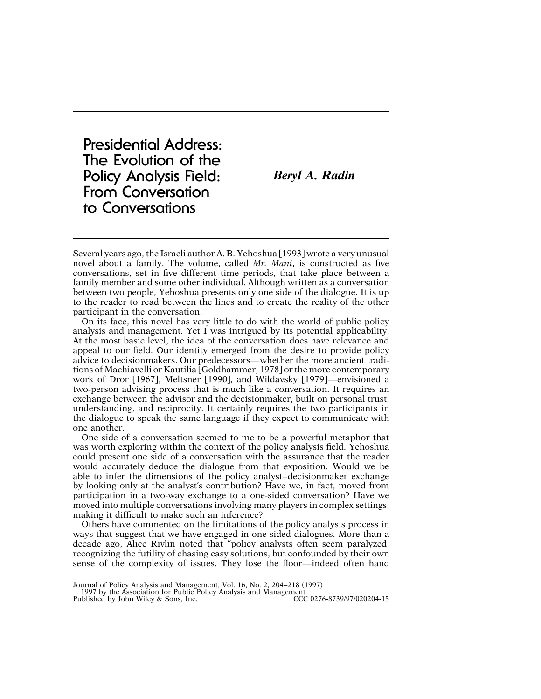**Presidential Address: The Evolution of the Policy Analysis Field:** *Beryl A. Radin* **From Conversation to Conversations**

Several years ago, the Israeli author A. B. Yehoshua [1993] wrote a very unusual novel about a family. The volume, called *Mr. Mani*, is constructed as five conversations, set in five different time periods, that take place between a family member and some other individual. Although written as a conversation between two people, Yehoshua presents only one side of the dialogue. It is up to the reader to read between the lines and to create the reality of the other participant in the conversation.

On its face, this novel has very little to do with the world of public policy analysis and management. Yet I was intrigued by its potential applicability. At the most basic level, the idea of the conversation does have relevance and appeal to our field. Our identity emerged from the desire to provide policy advice to decisionmakers. Our predecessors—whether the more ancient traditions of Machiavelli or Kautilia [Goldhammer, 1978] or the more contemporary work of Dror [1967], Meltsner [1990], and Wildavsky [1979]—envisioned a two-person advising process that is much like a conversation. It requires an exchange between the advisor and the decisionmaker, built on personal trust, understanding, and reciprocity. It certainly requires the two participants in the dialogue to speak the same language if they expect to communicate with one another.

One side of a conversation seemed to me to be a powerful metaphor that was worth exploring within the context of the policy analysis field. Yehoshua could present one side of a conversation with the assurance that the reader would accurately deduce the dialogue from that exposition. Would we be able to infer the dimensions of the policy analyst–decisionmaker exchange by looking only at the analyst's contribution? Have we, in fact, moved from participation in a two-way exchange to a one-sided conversation? Have we moved into multiple conversations involving many players in complex settings, making it difficult to make such an inference?

Others have commented on the limitations of the policy analysis process in ways that suggest that we have engaged in one-sided dialogues. More than a decade ago, Alice Rivlin noted that ''policy analysts often seem paralyzed, recognizing the futility of chasing easy solutions, but confounded by their own sense of the complexity of issues. They lose the floor—indeed often hand

Journal of Policy Analysis and Management, Vol. 16, No. 2, 204–218 (1997)

1997 by the Association for Public Policy Analysis and Management Published by John Wiley & Sons, Inc.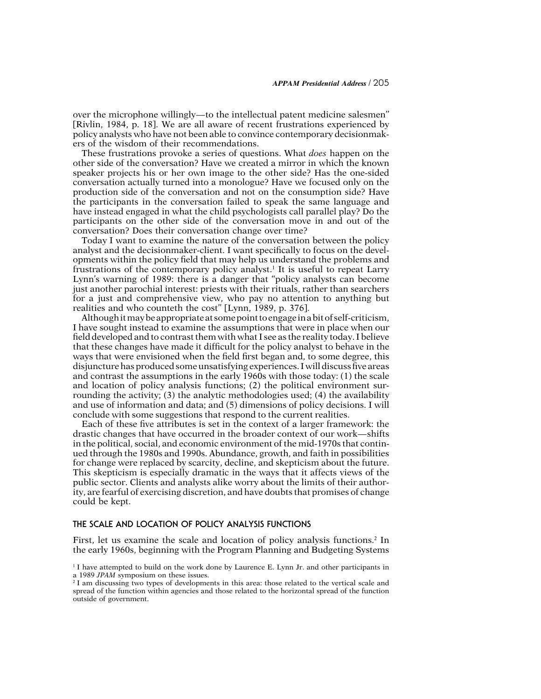over the microphone willingly—to the intellectual patent medicine salesmen'' [Rivlin, 1984, p. 18]. We are all aware of recent frustrations experienced by policy analysts who have not been able to convince contemporary decisionmakers of the wisdom of their recommendations.

These frustrations provoke a series of questions. What *does* happen on the other side of the conversation? Have we created a mirror in which the known speaker projects his or her own image to the other side? Has the one-sided conversation actually turned into a monologue? Have we focused only on the production side of the conversation and not on the consumption side? Have the participants in the conversation failed to speak the same language and have instead engaged in what the child psychologists call parallel play? Do the participants on the other side of the conversation move in and out of the conversation? Does their conversation change over time?

Today I want to examine the nature of the conversation between the policy analyst and the decisionmaker-client. I want specifically to focus on the developments within the policy field that may help us understand the problems and frustrations of the contemporary policy analyst.<sup>1</sup> It is useful to repeat Larry Lynn's warning of 1989: there is a danger that ''policy analysts can become just another parochial interest: priests with their rituals, rather than searchers for a just and comprehensive view, who pay no attention to anything but realities and who counteth the cost'' [Lynn, 1989, p. 376].

Althoughitmaybeappropriateatsomepointtoengageinabitofself-criticism, I have sought instead to examine the assumptions that were in place when our field developed and to contrast them with what I see as the reality today. I believe that these changes have made it difficult for the policy analyst to behave in the ways that were envisioned when the field first began and, to some degree, this disjuncture has produced some unsatisfying experiences. I will discuss five areas and contrast the assumptions in the early 1960s with those today: (1) the scale and location of policy analysis functions; (2) the political environment surrounding the activity; (3) the analytic methodologies used; (4) the availability and use of information and data; and (5) dimensions of policy decisions. I will conclude with some suggestions that respond to the current realities.

Each of these five attributes is set in the context of a larger framework: the drastic changes that have occurred in the broader context of our work—shifts in the political, social, and economic environment of the mid-1970s that continued through the 1980s and 1990s. Abundance, growth, and faith in possibilities for change were replaced by scarcity, decline, and skepticism about the future. This skepticism is especially dramatic in the ways that it affects views of the public sector. Clients and analysts alike worry about the limits of their authority, are fearful of exercising discretion, and have doubts that promises of change could be kept.

#### **THE SCALE AND LOCATION OF POLICY ANALYSIS FUNCTIONS**

First, let us examine the scale and location of policy analysis functions.<sup>2</sup> In the early 1960s, beginning with the Program Planning and Budgeting Systems

<sup>&</sup>lt;sup>1</sup> I have attempted to build on the work done by Laurence E. Lynn Jr. and other participants in a 1989 *JPAM* symposium on these issues.

<sup>&</sup>lt;sup>2</sup> I am discussing two types of developments in this area: those related to the vertical scale and spread of the function within agencies and those related to the horizontal spread of the function outside of government.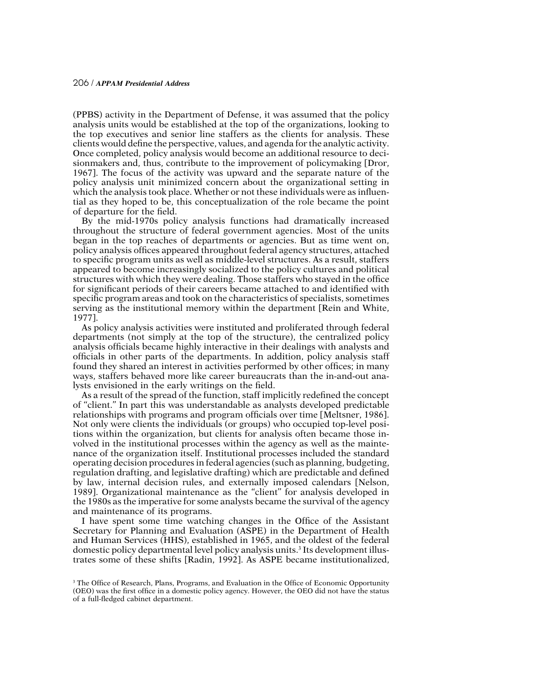(PPBS) activity in the Department of Defense, it was assumed that the policy analysis units would be established at the top of the organizations, looking to the top executives and senior line staffers as the clients for analysis. These clients would define the perspective, values, and agenda for the analytic activity. Once completed, policy analysis would become an additional resource to decisionmakers and, thus, contribute to the improvement of policymaking [Dror, 1967]. The focus of the activity was upward and the separate nature of the policy analysis unit minimized concern about the organizational setting in which the analysis took place. Whether or not these individuals were as influential as they hoped to be, this conceptualization of the role became the point of departure for the field.

By the mid-1970s policy analysis functions had dramatically increased throughout the structure of federal government agencies. Most of the units began in the top reaches of departments or agencies. But as time went on, policy analysis offices appeared throughout federal agency structures, attached to specific program units as well as middle-level structures. As a result, staffers appeared to become increasingly socialized to the policy cultures and political structures with which they were dealing. Those staffers who stayed in the office for significant periods of their careers became attached to and identified with specific program areas and took on the characteristics of specialists, sometimes serving as the institutional memory within the department [Rein and White, 1977].

As policy analysis activities were instituted and proliferated through federal departments (not simply at the top of the structure), the centralized policy analysis officials became highly interactive in their dealings with analysts and officials in other parts of the departments. In addition, policy analysis staff found they shared an interest in activities performed by other offices; in many ways, staffers behaved more like career bureaucrats than the in-and-out analysts envisioned in the early writings on the field.

As a result of the spread of the function, staff implicitly redefined the concept of ''client.'' In part this was understandable as analysts developed predictable relationships with programs and program officials over time [Meltsner, 1986]. Not only were clients the individuals (or groups) who occupied top-level positions within the organization, but clients for analysis often became those involved in the institutional processes within the agency as well as the maintenance of the organization itself. Institutional processes included the standard operating decision procedures in federal agencies (such as planning, budgeting, regulation drafting, and legislative drafting) which are predictable and defined by law, internal decision rules, and externally imposed calendars [Nelson, 1989]. Organizational maintenance as the "client" for analysis developed in the 1980s as the imperative for some analysts became the survival of the agency and maintenance of its programs.

I have spent some time watching changes in the Office of the Assistant Secretary for Planning and Evaluation (ASPE) in the Department of Health and Human Services (HHS), established in 1965, and the oldest of the federal domestic policy departmental level policy analysis units.3 Its development illustrates some of these shifts [Radin, 1992]. As ASPE became institutionalized,

<sup>&</sup>lt;sup>3</sup> The Office of Research, Plans, Programs, and Evaluation in the Office of Economic Opportunity (OEO) was the first office in a domestic policy agency. However, the OEO did not have the status of a full-fledged cabinet department.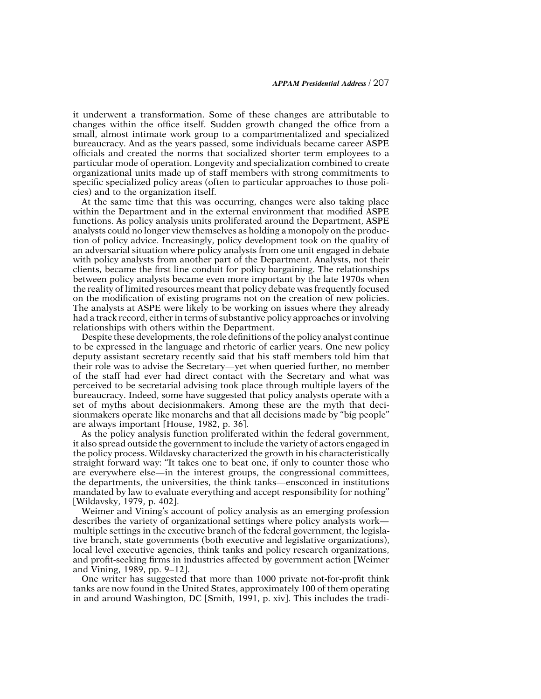it underwent a transformation. Some of these changes are attributable to changes within the office itself. Sudden growth changed the office from a small, almost intimate work group to a compartmentalized and specialized bureaucracy. And as the years passed, some individuals became career ASPE officials and created the norms that socialized shorter term employees to a particular mode of operation. Longevity and specialization combined to create organizational units made up of staff members with strong commitments to specific specialized policy areas (often to particular approaches to those policies) and to the organization itself.

At the same time that this was occurring, changes were also taking place within the Department and in the external environment that modified ASPE functions. As policy analysis units proliferated around the Department, ASPE analysts could no longer view themselves as holding a monopoly on the production of policy advice. Increasingly, policy development took on the quality of an adversarial situation where policy analysts from one unit engaged in debate with policy analysts from another part of the Department. Analysts, not their clients, became the first line conduit for policy bargaining. The relationships between policy analysts became even more important by the late 1970s when the reality of limited resources meant that policy debate was frequently focused on the modification of existing programs not on the creation of new policies. The analysts at ASPE were likely to be working on issues where they already had a track record, either in terms of substantive policy approaches or involving relationships with others within the Department.

Despite these developments, the role definitions of the policy analyst continue to be expressed in the language and rhetoric of earlier years. One new policy deputy assistant secretary recently said that his staff members told him that their role was to advise the Secretary—yet when queried further, no member of the staff had ever had direct contact with the Secretary and what was perceived to be secretarial advising took place through multiple layers of the bureaucracy. Indeed, some have suggested that policy analysts operate with a set of myths about decisionmakers. Among these are the myth that decisionmakers operate like monarchs and that all decisions made by ''big people'' are always important [House, 1982, p. 36].

As the policy analysis function proliferated within the federal government, it also spread outside the government to include the variety of actors engaged in the policy process. Wildavsky characterized the growth in his characteristically straight forward way: ''It takes one to beat one, if only to counter those who are everywhere else—in the interest groups, the congressional committees, the departments, the universities, the think tanks—ensconced in institutions mandated by law to evaluate everything and accept responsibility for nothing'' [Wildavsky, 1979, p. 402].

Weimer and Vining's account of policy analysis as an emerging profession describes the variety of organizational settings where policy analysts work multiple settings in the executive branch of the federal government, the legislative branch, state governments (both executive and legislative organizations), local level executive agencies, think tanks and policy research organizations, and profit-seeking firms in industries affected by government action [Weimer and Vining, 1989, pp. 9–12].

One writer has suggested that more than 1000 private not-for-profit think tanks are now found in the United States, approximately 100 of them operating in and around Washington, DC [Smith, 1991, p. xiv]. This includes the tradi-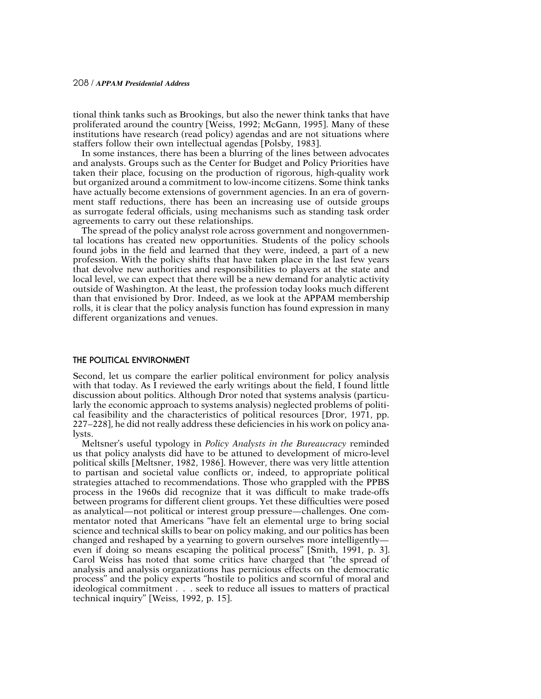tional think tanks such as Brookings, but also the newer think tanks that have proliferated around the country [Weiss, 1992; McGann, 1995]. Many of these institutions have research (read policy) agendas and are not situations where staffers follow their own intellectual agendas [Polsby, 1983].

In some instances, there has been a blurring of the lines between advocates and analysts. Groups such as the Center for Budget and Policy Priorities have taken their place, focusing on the production of rigorous, high-quality work but organized around a commitment to low-income citizens. Some think tanks have actually become extensions of government agencies. In an era of government staff reductions, there has been an increasing use of outside groups as surrogate federal officials, using mechanisms such as standing task order agreements to carry out these relationships.

The spread of the policy analyst role across government and nongovernmental locations has created new opportunities. Students of the policy schools found jobs in the field and learned that they were, indeed, a part of a new profession. With the policy shifts that have taken place in the last few years that devolve new authorities and responsibilities to players at the state and local level, we can expect that there will be a new demand for analytic activity outside of Washington. At the least, the profession today looks much different than that envisioned by Dror. Indeed, as we look at the APPAM membership rolls, it is clear that the policy analysis function has found expression in many different organizations and venues.

#### **THE POLITICAL ENVIRONMENT**

Second, let us compare the earlier political environment for policy analysis with that today. As I reviewed the early writings about the field, I found little discussion about politics. Although Dror noted that systems analysis (particularly the economic approach to systems analysis) neglected problems of political feasibility and the characteristics of political resources [Dror, 1971, pp. 227–228], he did not really address these deficiencies in his work on policy analysts.

Meltsner's useful typology in *Policy Analysts in the Bureaucracy* reminded us that policy analysts did have to be attuned to development of micro-level political skills [Meltsner, 1982, 1986]. However, there was very little attention to partisan and societal value conflicts or, indeed, to appropriate political strategies attached to recommendations. Those who grappled with the PPBS process in the 1960s did recognize that it was difficult to make trade-offs between programs for different client groups. Yet these difficulties were posed as analytical—not political or interest group pressure—challenges. One commentator noted that Americans ''have felt an elemental urge to bring social science and technical skills to bear on policy making, and our politics has been changed and reshaped by a yearning to govern ourselves more intelligently even if doing so means escaping the political process'' [Smith, 1991, p. 3]. Carol Weiss has noted that some critics have charged that ''the spread of analysis and analysis organizations has pernicious effects on the democratic process'' and the policy experts ''hostile to politics and scornful of moral and ideological commitment . . . seek to reduce all issues to matters of practical technical inquiry'' [Weiss, 1992, p. 15].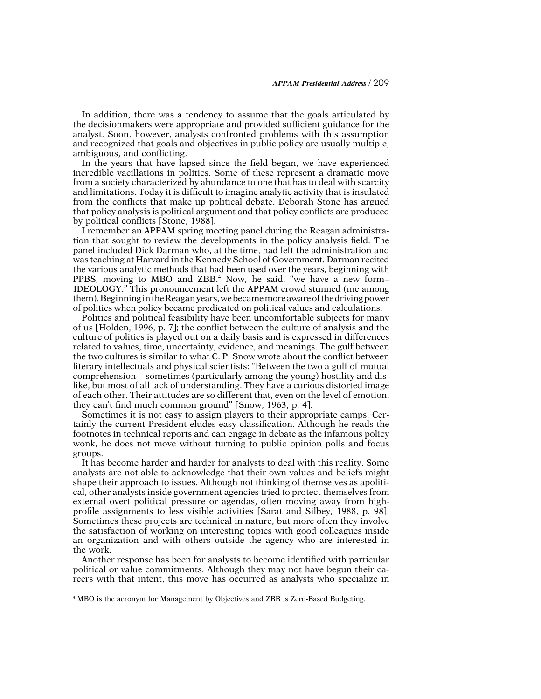In addition, there was a tendency to assume that the goals articulated by the decisionmakers were appropriate and provided sufficient guidance for the analyst. Soon, however, analysts confronted problems with this assumption and recognized that goals and objectives in public policy are usually multiple, ambiguous, and conflicting.

In the years that have lapsed since the field began, we have experienced incredible vacillations in politics. Some of these represent a dramatic move from a society characterized by abundance to one that has to deal with scarcity and limitations. Today it is difficult to imagine analytic activity that is insulated from the conflicts that make up political debate. Deborah Stone has argued that policy analysis is political argument and that policy conflicts are produced by political conflicts [Stone, 1988].

I remember an APPAM spring meeting panel during the Reagan administration that sought to review the developments in the policy analysis field. The panel included Dick Darman who, at the time, had left the administration and was teaching at Harvard in the Kennedy School of Government. Darman recited the various analytic methods that had been used over the years, beginning with PPBS, moving to MBO and ZBB.<sup>4</sup> Now, he said, "we have a new form-IDEOLOGY.'' This pronouncement left the APPAM crowd stunned (me among them).BeginningintheReaganyears,webecamemoreawareofthedrivingpower of politics when policy became predicated on political values and calculations.

Politics and political feasibility have been uncomfortable subjects for many of us [Holden, 1996, p. 7]; the conflict between the culture of analysis and the culture of politics is played out on a daily basis and is expressed in differences related to values, time, uncertainty, evidence, and meanings. The gulf between the two cultures is similar to what C. P. Snow wrote about the conflict between literary intellectuals and physical scientists: ''Between the two a gulf of mutual comprehension—sometimes (particularly among the young) hostility and dislike, but most of all lack of understanding. They have a curious distorted image of each other. Their attitudes are so different that, even on the level of emotion, they can't find much common ground'' [Snow, 1963, p. 4].

Sometimes it is not easy to assign players to their appropriate camps. Certainly the current President eludes easy classification. Although he reads the footnotes in technical reports and can engage in debate as the infamous policy wonk, he does not move without turning to public opinion polls and focus groups.

It has become harder and harder for analysts to deal with this reality. Some analysts are not able to acknowledge that their own values and beliefs might shape their approach to issues. Although not thinking of themselves as apolitical, other analysts inside government agencies tried to protect themselves from external overt political pressure or agendas, often moving away from highprofile assignments to less visible activities [Sarat and Silbey, 1988, p. 98]. Sometimes these projects are technical in nature, but more often they involve the satisfaction of working on interesting topics with good colleagues inside an organization and with others outside the agency who are interested in the work.

Another response has been for analysts to become identified with particular political or value commitments. Although they may not have begun their careers with that intent, this move has occurred as analysts who specialize in

<sup>4</sup> MBO is the acronym for Management by Objectives and ZBB is Zero-Based Budgeting.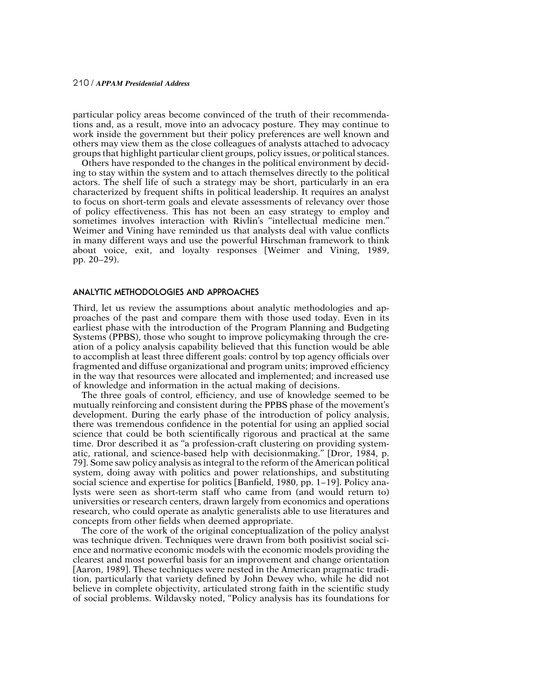particular policy areas become convinced of the truth of their recommendations and, as a result, move into an advocacy posture. They may continue to work inside the government but their policy preferences are well known and others may view them as the close colleagues of analysts attached to advocacy groups that highlight particular client groups, policy issues, or political stances.

Others have responded to the changes in the political environment by deciding to stay within the system and to attach themselves directly to the political actors. The shelf life of such a strategy may be short, particularly in an era characterized by frequent shifts in political leadership. It requires an analyst to focus on short-term goals and elevate assessments of relevancy over those of policy effectiveness. This has not been an easy strategy to employ and sometimes involves interaction with Rivlin's ''intellectual medicine men.'' Weimer and Vining have reminded us that analysts deal with value conflicts in many different ways and use the powerful Hirschman framework to think about voice, exit, and loyalty responses [Weimer and Vining, 1989, pp. 20–29).

# **ANALYTIC METHODOLOGIES AND APPROACHES**

Third, let us review the assumptions about analytic methodologies and approaches of the past and compare them with those used today. Even in its earliest phase with the introduction of the Program Planning and Budgeting Systems (PPBS), those who sought to improve policymaking through the creation of a policy analysis capability believed that this function would be able to accomplish at least three different goals: control by top agency officials over fragmented and diffuse organizational and program units; improved efficiency in the way that resources were allocated and implemented; and increased use of knowledge and information in the actual making of decisions.

The three goals of control, efficiency, and use of knowledge seemed to be mutually reinforcing and consistent during the PPBS phase of the movement's development. During the early phase of the introduction of policy analysis, there was tremendous confidence in the potential for using an applied social science that could be both scientifically rigorous and practical at the same time. Dror described it as ''a profession-craft clustering on providing systematic, rational, and science-based help with decisionmaking.'' [Dror, 1984, p. 79]. Some saw policy analysis as integral to the reform of the American political system, doing away with politics and power relationships, and substituting social science and expertise for politics [Banfield, 1980, pp. 1–19]. Policy analysts were seen as short-term staff who came from (and would return to) universities or research centers, drawn largely from economics and operations research, who could operate as analytic generalists able to use literatures and concepts from other fields when deemed appropriate.

The core of the work of the original conceptualization of the policy analyst was technique driven. Techniques were drawn from both positivist social science and normative economic models with the economic models providing the clearest and most powerful basis for an improvement and change orientation [Aaron, 1989]. These techniques were nested in the American pragmatic tradition, particularly that variety defined by John Dewey who, while he did not believe in complete objectivity, articulated strong faith in the scientific study of social problems. Wildavsky noted, ''Policy analysis has its foundations for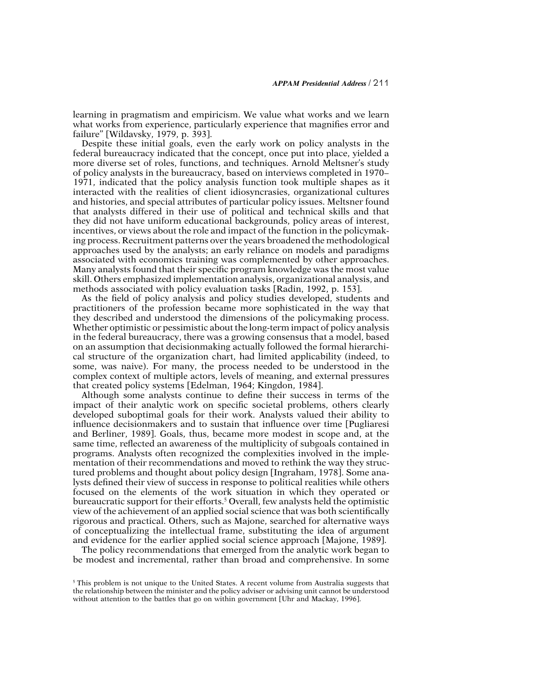learning in pragmatism and empiricism. We value what works and we learn what works from experience, particularly experience that magnifies error and failure'' [Wildavsky, 1979, p. 393].

Despite these initial goals, even the early work on policy analysts in the federal bureaucracy indicated that the concept, once put into place, yielded a more diverse set of roles, functions, and techniques. Arnold Meltsner's study of policy analysts in the bureaucracy, based on interviews completed in 1970– 1971, indicated that the policy analysis function took multiple shapes as it interacted with the realities of client idiosyncrasies, organizational cultures and histories, and special attributes of particular policy issues. Meltsner found that analysts differed in their use of political and technical skills and that they did not have uniform educational backgrounds, policy areas of interest, incentives, or views about the role and impact of the function in the policymaking process. Recruitment patterns over the years broadened the methodological approaches used by the analysts; an early reliance on models and paradigms associated with economics training was complemented by other approaches. Many analysts found that their specific program knowledge was the most value skill. Others emphasized implementation analysis, organizational analysis, and methods associated with policy evaluation tasks [Radin, 1992, p. 153].

As the field of policy analysis and policy studies developed, students and practitioners of the profession became more sophisticated in the way that they described and understood the dimensions of the policymaking process. Whether optimistic or pessimistic about the long-term impact of policy analysis in the federal bureaucracy, there was a growing consensus that a model, based on an assumption that decisionmaking actually followed the formal hierarchical structure of the organization chart, had limited applicability (indeed, to some, was naive). For many, the process needed to be understood in the complex context of multiple actors, levels of meaning, and external pressures that created policy systems [Edelman, 1964; Kingdon, 1984].

Although some analysts continue to define their success in terms of the impact of their analytic work on specific societal problems, others clearly developed suboptimal goals for their work. Analysts valued their ability to influence decisionmakers and to sustain that influence over time [Pugliaresi and Berliner, 1989]. Goals, thus, became more modest in scope and, at the same time, reflected an awareness of the multiplicity of subgoals contained in programs. Analysts often recognized the complexities involved in the implementation of their recommendations and moved to rethink the way they structured problems and thought about policy design [Ingraham, 1978]. Some analysts defined their view of success in response to political realities while others focused on the elements of the work situation in which they operated or bureaucratic support for their efforts.<sup>5</sup> Overall, few analysts held the optimistic view of the achievement of an applied social science that was both scientifically rigorous and practical. Others, such as Majone, searched for alternative ways of conceptualizing the intellectual frame, substituting the idea of argument and evidence for the earlier applied social science approach [Majone, 1989].

The policy recommendations that emerged from the analytic work began to be modest and incremental, rather than broad and comprehensive. In some

<sup>&</sup>lt;sup>5</sup> This problem is not unique to the United States. A recent volume from Australia suggests that the relationship between the minister and the policy adviser or advising unit cannot be understood without attention to the battles that go on within government [Uhr and Mackay, 1996].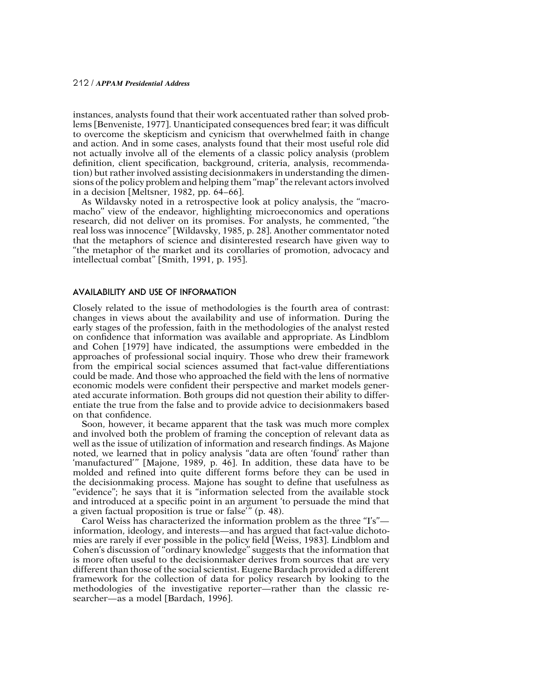instances, analysts found that their work accentuated rather than solved problems [Benveniste, 1977]. Unanticipated consequences bred fear; it was difficult to overcome the skepticism and cynicism that overwhelmed faith in change and action. And in some cases, analysts found that their most useful role did not actually involve all of the elements of a classic policy analysis (problem definition, client specification, background, criteria, analysis, recommendation) but rather involved assisting decisionmakers in understanding the dimensions of the policy problem and helping them ''map'' the relevant actors involved in a decision [Meltsner, 1982, pp. 64–66].

As Wildavsky noted in a retrospective look at policy analysis, the ''macromacho'' view of the endeavor, highlighting microeconomics and operations research, did not deliver on its promises. For analysts, he commented, ''the real loss was innocence'' [Wildavsky, 1985, p. 28]. Another commentator noted that the metaphors of science and disinterested research have given way to ''the metaphor of the market and its corollaries of promotion, advocacy and intellectual combat'' [Smith, 1991, p. 195].

# **AVAILABILITY AND USE OF INFORMATION**

Closely related to the issue of methodologies is the fourth area of contrast: changes in views about the availability and use of information. During the early stages of the profession, faith in the methodologies of the analyst rested on confidence that information was available and appropriate. As Lindblom and Cohen [1979] have indicated, the assumptions were embedded in the approaches of professional social inquiry. Those who drew their framework from the empirical social sciences assumed that fact-value differentiations could be made. And those who approached the field with the lens of normative economic models were confident their perspective and market models generated accurate information. Both groups did not question their ability to differentiate the true from the false and to provide advice to decisionmakers based on that confidence.

Soon, however, it became apparent that the task was much more complex and involved both the problem of framing the conception of relevant data as well as the issue of utilization of information and research findings. As Majone noted, we learned that in policy analysis ''data are often 'found' rather than 'manufactured''' [Majone, 1989, p. 46]. In addition, these data have to be molded and refined into quite different forms before they can be used in the decisionmaking process. Majone has sought to define that usefulness as "evidence"; he says that it is "information selected from the available stock and introduced at a specific point in an argument 'to persuade the mind that a given factual proposition is true or false''' (p. 48).

Carol Weiss has characterized the information problem as the three "I's" information, ideology, and interests—and has argued that fact-value dichotomies are rarely if ever possible in the policy field [Weiss, 1983]. Lindblom and Cohen's discussion of ''ordinary knowledge'' suggests that the information that is more often useful to the decisionmaker derives from sources that are very different than those of the social scientist. Eugene Bardach provided a different framework for the collection of data for policy research by looking to the methodologies of the investigative reporter—rather than the classic researcher—as a model [Bardach, 1996].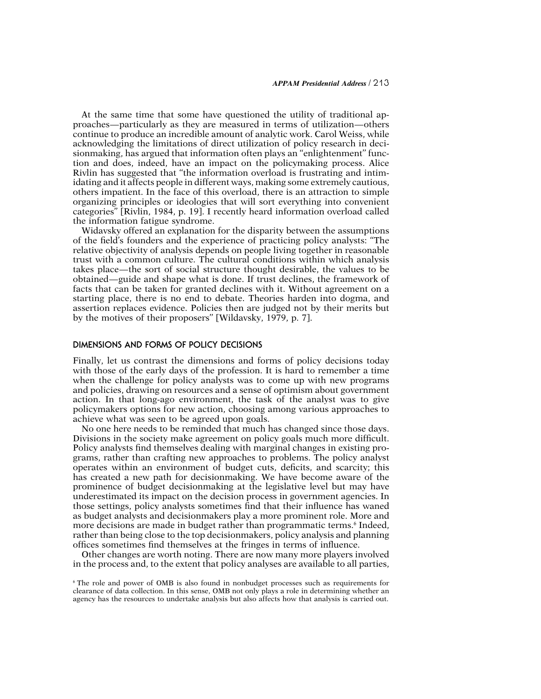At the same time that some have questioned the utility of traditional approaches—particularly as they are measured in terms of utilization—others continue to produce an incredible amount of analytic work. Carol Weiss, while acknowledging the limitations of direct utilization of policy research in decisionmaking, has argued that information often plays an ''enlightenment'' function and does, indeed, have an impact on the policymaking process. Alice Rivlin has suggested that ''the information overload is frustrating and intimidating and it affects people in different ways, making some extremely cautious, others impatient. In the face of this overload, there is an attraction to simple organizing principles or ideologies that will sort everything into convenient categories'' [Rivlin, 1984, p. 19]. I recently heard information overload called the information fatigue syndrome.

Widavsky offered an explanation for the disparity between the assumptions of the field's founders and the experience of practicing policy analysts: ''The relative objectivity of analysis depends on people living together in reasonable trust with a common culture. The cultural conditions within which analysis takes place—the sort of social structure thought desirable, the values to be obtained—guide and shape what is done. If trust declines, the framework of facts that can be taken for granted declines with it. Without agreement on a starting place, there is no end to debate. Theories harden into dogma, and assertion replaces evidence. Policies then are judged not by their merits but by the motives of their proposers'' [Wildavsky, 1979, p. 7].

#### **DIMENSIONS AND FORMS OF POLICY DECISIONS**

Finally, let us contrast the dimensions and forms of policy decisions today with those of the early days of the profession. It is hard to remember a time when the challenge for policy analysts was to come up with new programs and policies, drawing on resources and a sense of optimism about government action. In that long-ago environment, the task of the analyst was to give policymakers options for new action, choosing among various approaches to achieve what was seen to be agreed upon goals.

No one here needs to be reminded that much has changed since those days. Divisions in the society make agreement on policy goals much more difficult. Policy analysts find themselves dealing with marginal changes in existing programs, rather than crafting new approaches to problems. The policy analyst operates within an environment of budget cuts, deficits, and scarcity; this has created a new path for decisionmaking. We have become aware of the prominence of budget decisionmaking at the legislative level but may have underestimated its impact on the decision process in government agencies. In those settings, policy analysts sometimes find that their influence has waned as budget analysts and decisionmakers play a more prominent role. More and more decisions are made in budget rather than programmatic terms.<sup>6</sup> Indeed, rather than being close to the top decisionmakers, policy analysis and planning offices sometimes find themselves at the fringes in terms of influence.

Other changes are worth noting. There are now many more players involved in the process and, to the extent that policy analyses are available to all parties,

<sup>6</sup> The role and power of OMB is also found in nonbudget processes such as requirements for clearance of data collection. In this sense, OMB not only plays a role in determining whether an agency has the resources to undertake analysis but also affects how that analysis is carried out.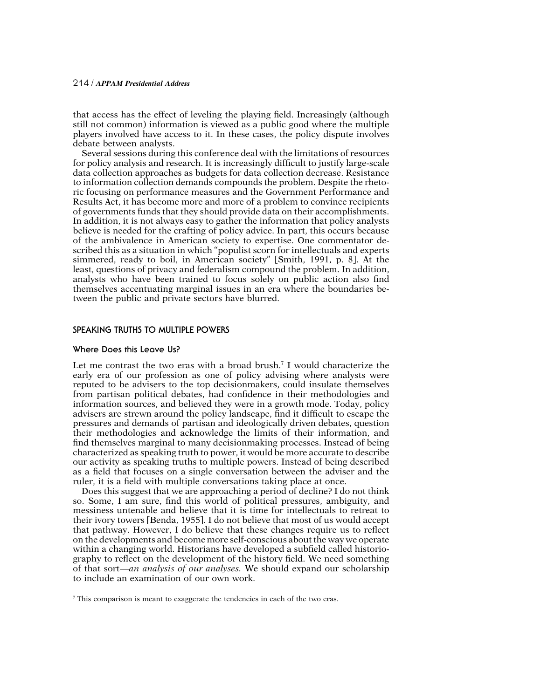that access has the effect of leveling the playing field. Increasingly (although still not common) information is viewed as a public good where the multiple players involved have access to it. In these cases, the policy dispute involves debate between analysts.

Several sessions during this conference deal with the limitations of resources for policy analysis and research. It is increasingly difficult to justify large-scale data collection approaches as budgets for data collection decrease. Resistance to information collection demands compounds the problem. Despite the rhetoric focusing on performance measures and the Government Performance and Results Act, it has become more and more of a problem to convince recipients of governments funds that they should provide data on their accomplishments. In addition, it is not always easy to gather the information that policy analysts believe is needed for the crafting of policy advice. In part, this occurs because of the ambivalence in American society to expertise. One commentator described this as a situation in which ''populist scorn for intellectuals and experts simmered, ready to boil, in American society'' [Smith, 1991, p. 8]. At the least, questions of privacy and federalism compound the problem. In addition, analysts who have been trained to focus solely on public action also find themselves accentuating marginal issues in an era where the boundaries between the public and private sectors have blurred.

# **SPEAKING TRUTHS TO MULTIPLE POWERS**

#### **Where Does this Leave Us?**

Let me contrast the two eras with a broad brush.<sup>7</sup> I would characterize the early era of our profession as one of policy advising where analysts were reputed to be advisers to the top decisionmakers, could insulate themselves from partisan political debates, had confidence in their methodologies and information sources, and believed they were in a growth mode. Today, policy advisers are strewn around the policy landscape, find it difficult to escape the pressures and demands of partisan and ideologically driven debates, question their methodologies and acknowledge the limits of their information, and find themselves marginal to many decisionmaking processes. Instead of being characterized as speaking truth to power, it would be more accurate to describe our activity as speaking truths to multiple powers. Instead of being described as a field that focuses on a single conversation between the adviser and the ruler, it is a field with multiple conversations taking place at once.

Does this suggest that we are approaching a period of decline? I do not think so. Some, I am sure, find this world of political pressures, ambiguity, and messiness untenable and believe that it is time for intellectuals to retreat to their ivory towers [Benda, 1955]. I do not believe that most of us would accept that pathway. However, I do believe that these changes require us to reflect on the developments and become more self-conscious about the way we operate within a changing world. Historians have developed a subfield called historiography to reflect on the development of the history field. We need something of that sort—*an analysis of our analyses.* We should expand our scholarship to include an examination of our own work.

<sup>7</sup> This comparison is meant to exaggerate the tendencies in each of the two eras.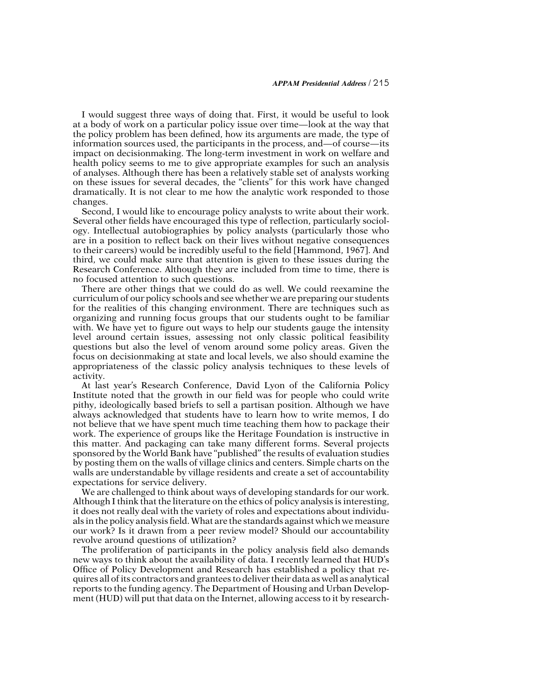I would suggest three ways of doing that. First, it would be useful to look at a body of work on a particular policy issue over time—look at the way that the policy problem has been defined, how its arguments are made, the type of information sources used, the participants in the process, and—of course—its impact on decisionmaking. The long-term investment in work on welfare and health policy seems to me to give appropriate examples for such an analysis of analyses. Although there has been a relatively stable set of analysts working on these issues for several decades, the ''clients'' for this work have changed dramatically. It is not clear to me how the analytic work responded to those changes.

Second, I would like to encourage policy analysts to write about their work. Several other fields have encouraged this type of reflection, particularly sociology. Intellectual autobiographies by policy analysts (particularly those who are in a position to reflect back on their lives without negative consequences to their careers) would be incredibly useful to the field [Hammond, 1967]. And third, we could make sure that attention is given to these issues during the Research Conference. Although they are included from time to time, there is no focused attention to such questions.

There are other things that we could do as well. We could reexamine the curriculum of our policy schools and see whether we are preparing our students for the realities of this changing environment. There are techniques such as organizing and running focus groups that our students ought to be familiar with. We have yet to figure out ways to help our students gauge the intensity level around certain issues, assessing not only classic political feasibility questions but also the level of venom around some policy areas. Given the focus on decisionmaking at state and local levels, we also should examine the appropriateness of the classic policy analysis techniques to these levels of activity.

At last year's Research Conference, David Lyon of the California Policy Institute noted that the growth in our field was for people who could write pithy, ideologically based briefs to sell a partisan position. Although we have always acknowledged that students have to learn how to write memos, I do not believe that we have spent much time teaching them how to package their work. The experience of groups like the Heritage Foundation is instructive in this matter. And packaging can take many different forms. Several projects sponsored by the World Bank have ''published'' the results of evaluation studies by posting them on the walls of village clinics and centers. Simple charts on the walls are understandable by village residents and create a set of accountability expectations for service delivery.

We are challenged to think about ways of developing standards for our work. Although I think that the literature on the ethics of policy analysis is interesting, it does not really deal with the variety of roles and expectations about individuals in the policy analysis field. What are the standards against which we measure our work? Is it drawn from a peer review model? Should our accountability revolve around questions of utilization?

The proliferation of participants in the policy analysis field also demands new ways to think about the availability of data. I recently learned that HUD's Office of Policy Development and Research has established a policy that requires all of its contractors and grantees to deliver their data as well as analytical reports to the funding agency. The Department of Housing and Urban Development (HUD) will put that data on the Internet, allowing access to it by research-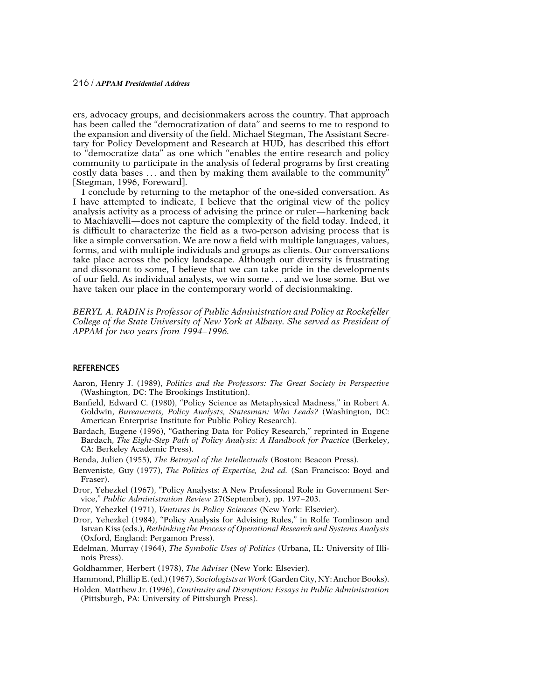ers, advocacy groups, and decisionmakers across the country. That approach has been called the ''democratization of data'' and seems to me to respond to the expansion and diversity of the field. Michael Stegman, The Assistant Secretary for Policy Development and Research at HUD, has described this effort to ''democratize data'' as one which ''enables the entire research and policy community to participate in the analysis of federal programs by first creating costly data bases . . . and then by making them available to the community'' [Stegman, 1996, Foreward].

I conclude by returning to the metaphor of the one-sided conversation. As I have attempted to indicate, I believe that the original view of the policy analysis activity as a process of advising the prince or ruler—harkening back to Machiavelli—does not capture the complexity of the field today. Indeed, it is difficult to characterize the field as a two-person advising process that is like a simple conversation. We are now a field with multiple languages, values, forms, and with multiple individuals and groups as clients. Our conversations take place across the policy landscape. Although our diversity is frustrating and dissonant to some, I believe that we can take pride in the developments of our field. As individual analysts, we win some . . . and we lose some. But we have taken our place in the contemporary world of decisionmaking.

*BERYL A. RADIN is Professor of Public Administration and Policy at Rockefeller College of the State University of New York at Albany. She served as President of APPAM for two years from 1994–1996.*

# **REFERENCES**

- Aaron, Henry J. (1989), *Politics and the Professors: The Great Society in Perspective* (Washington, DC: The Brookings Institution).
- Banfield, Edward C. (1980), ''Policy Science as Metaphysical Madness,'' in Robert A. Goldwin, *Bureaucrats, Policy Analysts, Statesman: Who Leads?* (Washington, DC: American Enterprise Institute for Public Policy Research).
- Bardach, Eugene (1996), ''Gathering Data for Policy Research,'' reprinted in Eugene Bardach, *The Eight-Step Path of Policy Analysis: A Handbook for Practice* (Berkeley, CA: Berkeley Academic Press).
- Benda, Julien (1955), *The Betrayal of the Intellectuals* (Boston: Beacon Press).
- Benveniste, Guy (1977), *The Politics of Expertise, 2nd ed.* (San Francisco: Boyd and Fraser).
- Dror, Yehezkel (1967), ''Policy Analysts: A New Professional Role in Government Service,'' *Public Administration Review* 27(September), pp. 197–203.
- Dror, Yehezkel (1971), *Ventures in Policy Sciences* (New York: Elsevier).
- Dror, Yehezkel (1984), ''Policy Analysis for Advising Rules,'' in Rolfe Tomlinson and Istvan Kiss (eds.), *Rethinking the Process of Operational Research and Systems Analysis* (Oxford, England: Pergamon Press).
- Edelman, Murray (1964), *The Symbolic Uses of Politics* (Urbana, IL: University of Illinois Press).

Goldhammer, Herbert (1978), *The Adviser* (New York: Elsevier).

Hammond, Phillip E. (ed.) (1967), *Sociologists at Work* (Garden City, NY: Anchor Books).

Holden, Matthew Jr. (1996), *Continuity and Disruption: Essays in Public Administration* (Pittsburgh, PA: University of Pittsburgh Press).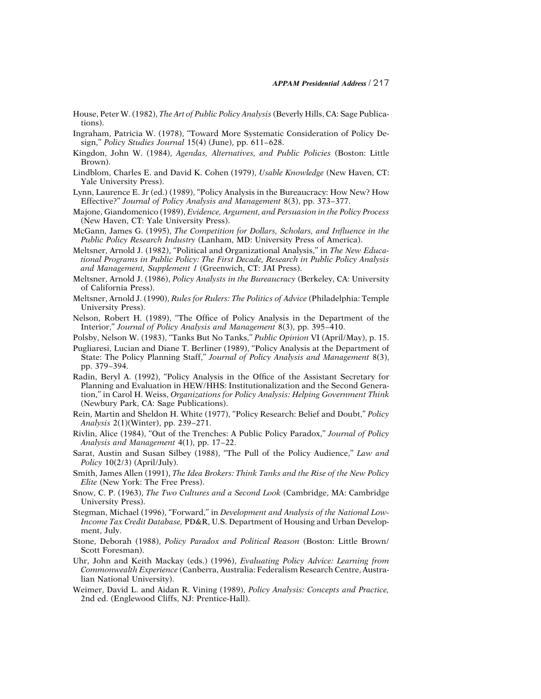- House, Peter W. (1982), *The Art of Public Policy Analysis* (Beverly Hills, CA: Sage Publications).
- Ingraham, Patricia W. (1978), ''Toward More Systematic Consideration of Policy Design,'' *Policy Studies Journal* 15(4) (June), pp. 611–628.
- Kingdon, John W. (1984), *Agendas, Alternatives, and Public Policies* (Boston: Little Brown).
- Lindblom, Charles E. and David K. Cohen (1979), *Usable Knowledge* (New Haven, CT: Yale University Press).
- Lynn, Laurence E. Jr (ed.) (1989), ''Policy Analysis in the Bureaucracy: How New? How Effective?'' *Journal of Policy Analysis and Management* 8(3), pp. 373–377.
- Majone, Giandomenico (1989), *Evidence, Argument, and Persuasion in the Policy Process* (New Haven, CT: Yale University Press).
- McGann, James G. (1995), *The Competition for Dollars, Scholars, and Influence in the Public Policy Research Industry* (Lanham, MD: University Press of America).
- Meltsner, Arnold J. (1982), ''Political and Organizational Analysis,'' in *The New Educational Programs in Public Policy: The First Decade, Research in Public Policy Analysis and Management, Supplement 1* (Greenwich, CT: JAI Press).
- Meltsner, Arnold J. (1986), *Policy Analysts in the Bureaucracy* (Berkeley, CA: University of California Press).
- Meltsner, Arnold J. (1990), *Rules for Rulers: The Politics of Advice* (Philadelphia: Temple University Press).
- Nelson, Robert H. (1989), ''The Office of Policy Analysis in the Department of the Interior,'' *Journal of Policy Analysis and Management* 8(3), pp. 395–410.
- Polsby, Nelson W. (1983), ''Tanks But No Tanks,'' *Public Opinion* VI (April/May), p. 15.
- Pugliaresi, Lucian and Diane T. Berliner (1989), ''Policy Analysis at the Department of State: The Policy Planning Staff,'' *Journal of Policy Analysis and Management* 8(3), pp. 379–394.
- Radin, Beryl A. (1992), ''Policy Analysis in the Office of the Assistant Secretary for Planning and Evaluation in HEW/HHS: Institutionalization and the Second Generation,'' in Carol H. Weiss, *Organizations for Policy Analysis: Helping Government Think* (Newbury Park, CA: Sage Publications).
- Rein, Martin and Sheldon H. White (1977), ''Policy Research: Belief and Doubt,'' *Policy Analysis* 2(1)(Winter), pp. 239–271.
- Rivlin, Alice (1984), ''Out of the Trenches: A Public Policy Paradox,'' *Journal of Policy Analysis and Management* 4(1), pp. 17–22.
- Sarat, Austin and Susan Silbey (1988), ''The Pull of the Policy Audience,'' *Law and Policy* 10(2/3) (April/July).
- Smith, James Allen (1991), *The Idea Brokers: Think Tanks and the Rise of the New Policy Elite* (New York: The Free Press).
- Snow, C. P. (1963), *The Two Cultures and a Second Look* (Cambridge, MA: Cambridge University Press).
- Stegman, Michael (1996), "Forward," in *Development and Analysis of the National Low-Income Tax Credit Database,* PD&R, U.S. Department of Housing and Urban Development, July.
- Stone, Deborah (1988), *Policy Paradox and Political Reason* (Boston: Little Brown/ Scott Foresman).
- Uhr, John and Keith Mackay (eds.) (1996), *Evaluating Policy Advice: Learning from Commonwealth Experience* (Canberra, Australia: Federalism Research Centre, Australian National University).
- Weimer, David L. and Aidan R. Vining (1989), *Policy Analysis: Concepts and Practice,* 2nd ed. (Englewood Cliffs, NJ: Prentice-Hall).